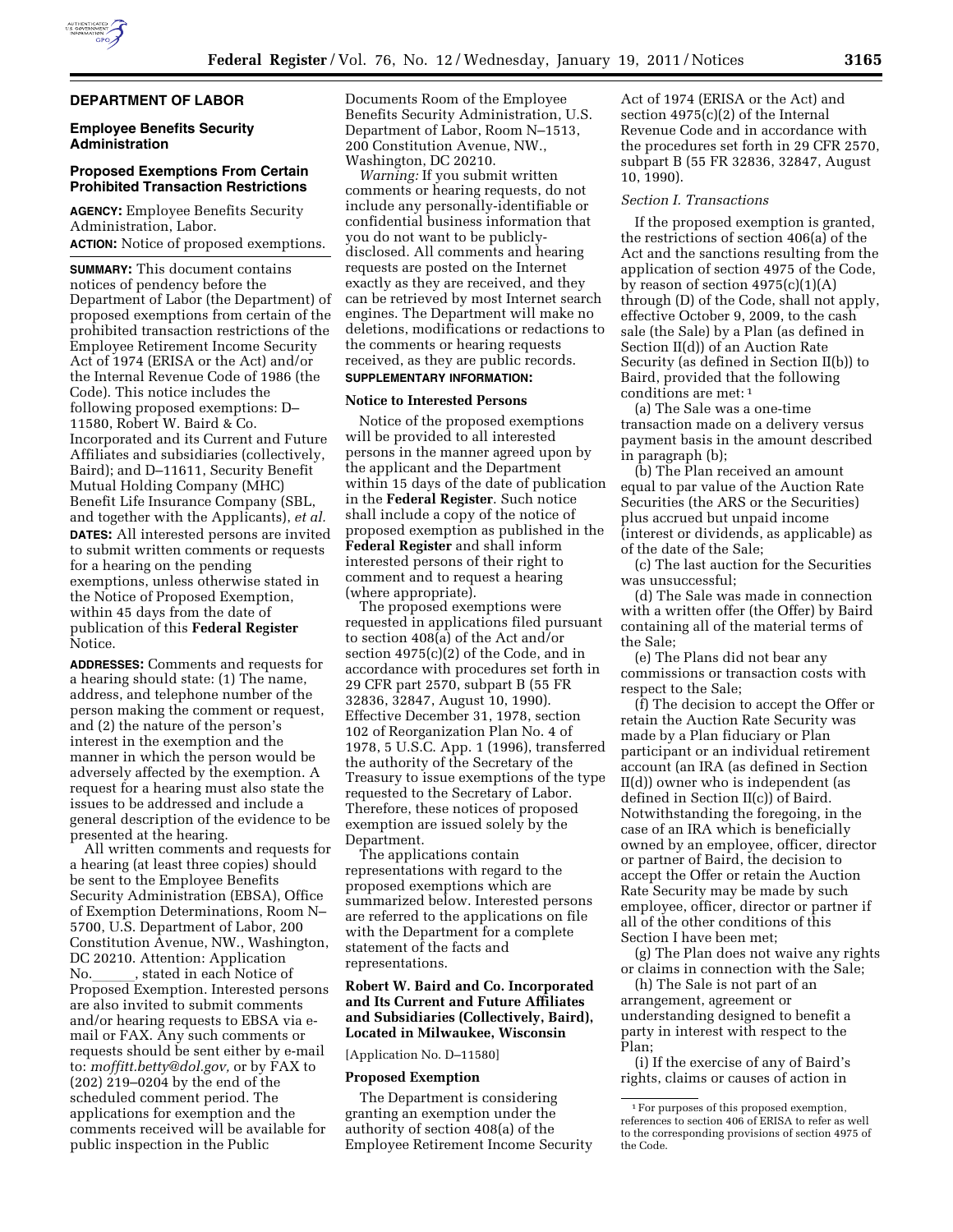# **DEPARTMENT OF LABOR**

# **Employee Benefits Security Administration**

# **Proposed Exemptions From Certain Prohibited Transaction Restrictions**

**AGENCY:** Employee Benefits Security Administration, Labor. **ACTION:** Notice of proposed exemptions.

**SUMMARY:** This document contains notices of pendency before the Department of Labor (the Department) of proposed exemptions from certain of the prohibited transaction restrictions of the Employee Retirement Income Security Act of 1974 (ERISA or the Act) and/or the Internal Revenue Code of 1986 (the Code). This notice includes the following proposed exemptions: D– 11580, Robert W. Baird & Co. Incorporated and its Current and Future Affiliates and subsidiaries (collectively, Baird); and D–11611, Security Benefit Mutual Holding Company (MHC) Benefit Life Insurance Company (SBL, and together with the Applicants), *et al.*  **DATES:** All interested persons are invited to submit written comments or requests for a hearing on the pending exemptions, unless otherwise stated in the Notice of Proposed Exemption, within 45 days from the date of publication of this **Federal Register**  Notice.

**ADDRESSES:** Comments and requests for a hearing should state: (1) The name, address, and telephone number of the person making the comment or request, and (2) the nature of the person's interest in the exemption and the manner in which the person would be adversely affected by the exemption. A request for a hearing must also state the issues to be addressed and include a general description of the evidence to be presented at the hearing.

All written comments and requests for a hearing (at least three copies) should be sent to the Employee Benefits Security Administration (EBSA), Office of Exemption Determinations, Room N– 5700, U.S. Department of Labor, 200 Constitution Avenue, NW., Washington, DC 20210. Attention: Application No.\_\_\_\_\_\_, stated in each Notice of<br>Proposed Exemption. Interested persons are also invited to submit comments and/or hearing requests to EBSA via email or FAX. Any such comments or requests should be sent either by e-mail to: *[moffitt.betty@dol.gov,](mailto:moffitt.betty@dol.gov)* or by FAX to (202) 219–0204 by the end of the scheduled comment period. The applications for exemption and the comments received will be available for public inspection in the Public

Documents Room of the Employee Benefits Security Administration, U.S. Department of Labor, Room N–1513, 200 Constitution Avenue, NW., Washington, DC 20210.

*Warning:* If you submit written comments or hearing requests, do not include any personally-identifiable or confidential business information that you do not want to be publiclydisclosed. All comments and hearing requests are posted on the Internet exactly as they are received, and they can be retrieved by most Internet search engines. The Department will make no deletions, modifications or redactions to the comments or hearing requests received, as they are public records. **SUPPLEMENTARY INFORMATION:** 

#### **Notice to Interested Persons**

Notice of the proposed exemptions will be provided to all interested persons in the manner agreed upon by the applicant and the Department within 15 days of the date of publication in the **Federal Register**. Such notice shall include a copy of the notice of proposed exemption as published in the **Federal Register** and shall inform interested persons of their right to comment and to request a hearing (where appropriate).

The proposed exemptions were requested in applications filed pursuant to section 408(a) of the Act and/or section 4975(c)(2) of the Code, and in accordance with procedures set forth in 29 CFR part 2570, subpart B (55 FR 32836, 32847, August 10, 1990). Effective December 31, 1978, section 102 of Reorganization Plan No. 4 of 1978, 5 U.S.C. App. 1 (1996), transferred the authority of the Secretary of the Treasury to issue exemptions of the type requested to the Secretary of Labor. Therefore, these notices of proposed exemption are issued solely by the Department.

The applications contain representations with regard to the proposed exemptions which are summarized below. Interested persons are referred to the applications on file with the Department for a complete statement of the facts and representations.

# **Robert W. Baird and Co. Incorporated and Its Current and Future Affiliates and Subsidiaries (Collectively, Baird), Located in Milwaukee, Wisconsin**

[Application No. D–11580]

#### **Proposed Exemption**

The Department is considering granting an exemption under the authority of section 408(a) of the Employee Retirement Income Security

Act of 1974 (ERISA or the Act) and section 4975(c)(2) of the Internal Revenue Code and in accordance with the procedures set forth in 29 CFR 2570, subpart B (55 FR 32836, 32847, August 10, 1990).

## *Section I. Transactions*

If the proposed exemption is granted, the restrictions of section 406(a) of the Act and the sanctions resulting from the application of section 4975 of the Code, by reason of section 4975(c)(1)(A) through (D) of the Code, shall not apply, effective October 9, 2009, to the cash sale (the Sale) by a Plan (as defined in Section II(d)) of an Auction Rate Security (as defined in Section II(b)) to Baird, provided that the following conditions are met: 1

(a) The Sale was a one-time transaction made on a delivery versus payment basis in the amount described in paragraph (b);

(b) The Plan received an amount equal to par value of the Auction Rate Securities (the ARS or the Securities) plus accrued but unpaid income (interest or dividends, as applicable) as of the date of the Sale;

(c) The last auction for the Securities was unsuccessful;

(d) The Sale was made in connection with a written offer (the Offer) by Baird containing all of the material terms of the Sale;

(e) The Plans did not bear any commissions or transaction costs with respect to the Sale;

(f) The decision to accept the Offer or retain the Auction Rate Security was made by a Plan fiduciary or Plan participant or an individual retirement account (an IRA (as defined in Section II(d)) owner who is independent (as defined in Section II(c)) of Baird. Notwithstanding the foregoing, in the case of an IRA which is beneficially owned by an employee, officer, director or partner of Baird, the decision to accept the Offer or retain the Auction Rate Security may be made by such employee, officer, director or partner if all of the other conditions of this Section I have been met;

(g) The Plan does not waive any rights or claims in connection with the Sale;

(h) The Sale is not part of an arrangement, agreement or understanding designed to benefit a party in interest with respect to the Plan;

(i) If the exercise of any of Baird's rights, claims or causes of action in

<sup>1</sup>For purposes of this proposed exemption, references to section 406 of ERISA to refer as well to the corresponding provisions of section 4975 of the Code.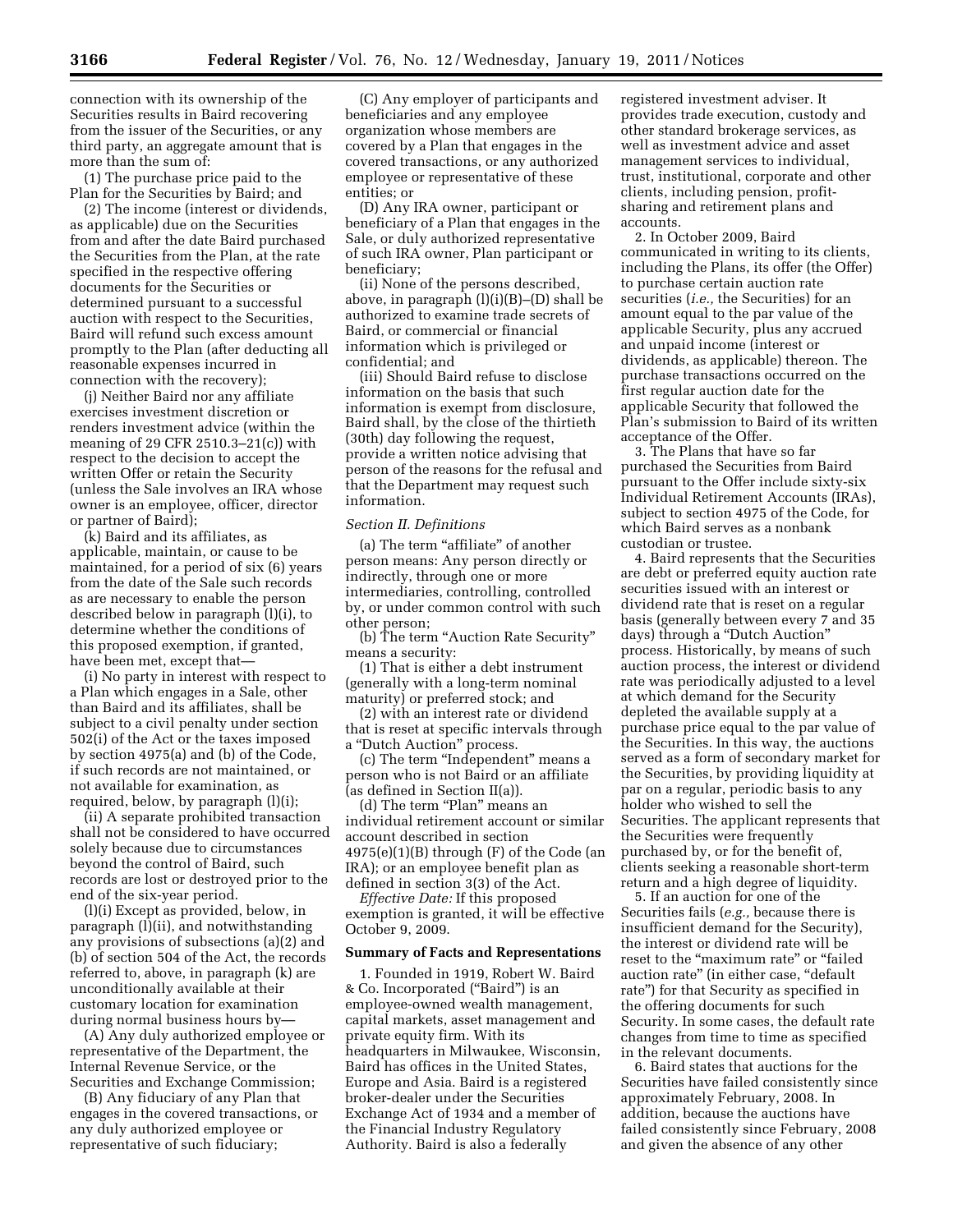connection with its ownership of the Securities results in Baird recovering from the issuer of the Securities, or any third party, an aggregate amount that is more than the sum of:

(1) The purchase price paid to the Plan for the Securities by Baird; and

(2) The income (interest or dividends, as applicable) due on the Securities from and after the date Baird purchased the Securities from the Plan, at the rate specified in the respective offering documents for the Securities or determined pursuant to a successful auction with respect to the Securities, Baird will refund such excess amount promptly to the Plan (after deducting all reasonable expenses incurred in connection with the recovery);

(j) Neither Baird nor any affiliate exercises investment discretion or renders investment advice (within the meaning of 29 CFR 2510.3–21(c)) with respect to the decision to accept the written Offer or retain the Security (unless the Sale involves an IRA whose owner is an employee, officer, director or partner of Baird);

(k) Baird and its affiliates, as applicable, maintain, or cause to be maintained, for a period of six (6) years from the date of the Sale such records as are necessary to enable the person described below in paragraph (l)(i), to determine whether the conditions of this proposed exemption, if granted, have been met, except that—

(i) No party in interest with respect to a Plan which engages in a Sale, other than Baird and its affiliates, shall be subject to a civil penalty under section 502(i) of the Act or the taxes imposed by section 4975(a) and (b) of the Code, if such records are not maintained, or not available for examination, as required, below, by paragraph (l)(i);

(ii) A separate prohibited transaction shall not be considered to have occurred solely because due to circumstances beyond the control of Baird, such records are lost or destroyed prior to the end of the six-year period.

(l)(i) Except as provided, below, in paragraph (l)(ii), and notwithstanding any provisions of subsections (a)(2) and (b) of section 504 of the Act, the records referred to, above, in paragraph (k) are unconditionally available at their customary location for examination during normal business hours by—

(A) Any duly authorized employee or representative of the Department, the Internal Revenue Service, or the Securities and Exchange Commission;

(B) Any fiduciary of any Plan that engages in the covered transactions, or any duly authorized employee or representative of such fiduciary;

(C) Any employer of participants and beneficiaries and any employee organization whose members are covered by a Plan that engages in the covered transactions, or any authorized employee or representative of these entities; or

(D) Any IRA owner, participant or beneficiary of a Plan that engages in the Sale, or duly authorized representative of such IRA owner, Plan participant or beneficiary;

(ii) None of the persons described, above, in paragraph (l)(i)(B)–(D) shall be authorized to examine trade secrets of Baird, or commercial or financial information which is privileged or confidential; and

(iii) Should Baird refuse to disclose information on the basis that such information is exempt from disclosure, Baird shall, by the close of the thirtieth (30th) day following the request, provide a written notice advising that person of the reasons for the refusal and that the Department may request such information.

#### *Section II. Definitions*

(a) The term "affiliate" of another person means: Any person directly or indirectly, through one or more intermediaries, controlling, controlled by, or under common control with such other person;

(b) The term ''Auction Rate Security'' means a security:

(1) That is either a debt instrument (generally with a long-term nominal maturity) or preferred stock; and

(2) with an interest rate or dividend that is reset at specific intervals through a "Dutch Auction" process.

(c) The term ''Independent'' means a person who is not Baird or an affiliate (as defined in Section II(a)).

(d) The term "Plan" means an individual retirement account or similar account described in section  $4975(e)(1)(B)$  through  $(F)$  of the Code (an IRA); or an employee benefit plan as defined in section 3(3) of the Act.

*Effective Date:* If this proposed exemption is granted, it will be effective October 9, 2009.

# **Summary of Facts and Representations**

1. Founded in 1919, Robert W. Baird & Co. Incorporated (''Baird'') is an employee-owned wealth management, capital markets, asset management and private equity firm. With its headquarters in Milwaukee, Wisconsin, Baird has offices in the United States, Europe and Asia. Baird is a registered broker-dealer under the Securities Exchange Act of 1934 and a member of the Financial Industry Regulatory Authority. Baird is also a federally

registered investment adviser. It provides trade execution, custody and other standard brokerage services, as well as investment advice and asset management services to individual, trust, institutional, corporate and other clients, including pension, profitsharing and retirement plans and accounts.

2. In October 2009, Baird communicated in writing to its clients, including the Plans, its offer (the Offer) to purchase certain auction rate securities (*i.e.,* the Securities) for an amount equal to the par value of the applicable Security, plus any accrued and unpaid income (interest or dividends, as applicable) thereon. The purchase transactions occurred on the first regular auction date for the applicable Security that followed the Plan's submission to Baird of its written acceptance of the Offer.

3. The Plans that have so far purchased the Securities from Baird pursuant to the Offer include sixty-six Individual Retirement Accounts (IRAs), subject to section 4975 of the Code, for which Baird serves as a nonbank custodian or trustee.

4. Baird represents that the Securities are debt or preferred equity auction rate securities issued with an interest or dividend rate that is reset on a regular basis (generally between every 7 and 35 days) through a ''Dutch Auction'' process. Historically, by means of such auction process, the interest or dividend rate was periodically adjusted to a level at which demand for the Security depleted the available supply at a purchase price equal to the par value of the Securities. In this way, the auctions served as a form of secondary market for the Securities, by providing liquidity at par on a regular, periodic basis to any holder who wished to sell the Securities. The applicant represents that the Securities were frequently purchased by, or for the benefit of, clients seeking a reasonable short-term return and a high degree of liquidity.

5. If an auction for one of the Securities fails (*e.g.,* because there is insufficient demand for the Security), the interest or dividend rate will be reset to the "maximum rate" or "failed auction rate'' (in either case, ''default rate'') for that Security as specified in the offering documents for such Security. In some cases, the default rate changes from time to time as specified in the relevant documents.

6. Baird states that auctions for the Securities have failed consistently since approximately February, 2008. In addition, because the auctions have failed consistently since February, 2008 and given the absence of any other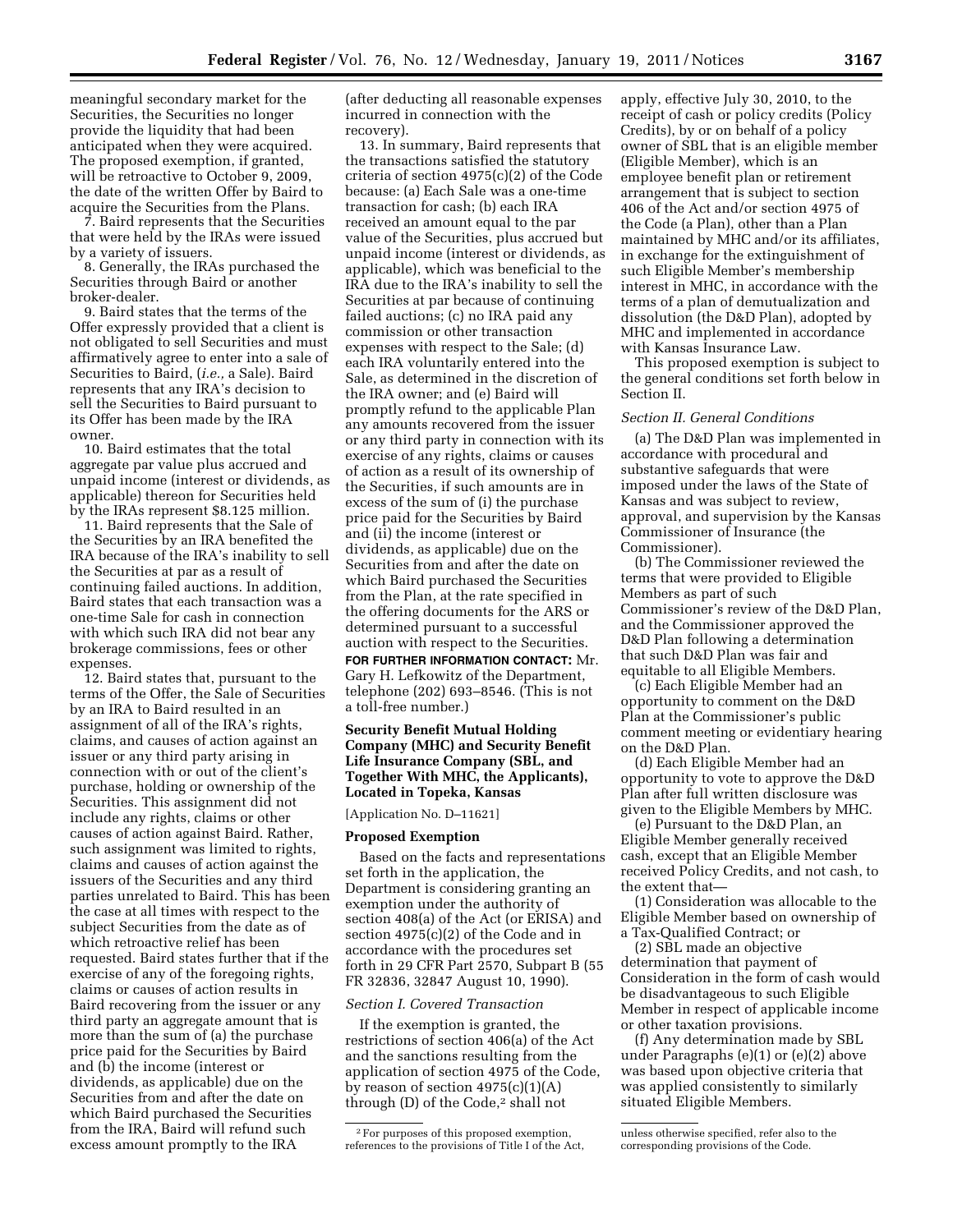meaningful secondary market for the Securities, the Securities no longer provide the liquidity that had been anticipated when they were acquired. The proposed exemption, if granted, will be retroactive to October 9, 2009, the date of the written Offer by Baird to acquire the Securities from the Plans.

7. Baird represents that the Securities that were held by the IRAs were issued by a variety of issuers.

8. Generally, the IRAs purchased the Securities through Baird or another broker-dealer.

9. Baird states that the terms of the Offer expressly provided that a client is not obligated to sell Securities and must affirmatively agree to enter into a sale of Securities to Baird, (*i.e.,* a Sale). Baird represents that any IRA's decision to sell the Securities to Baird pursuant to its Offer has been made by the IRA owner.

10. Baird estimates that the total aggregate par value plus accrued and unpaid income (interest or dividends, as applicable) thereon for Securities held by the IRAs represent \$8.125 million.

11. Baird represents that the Sale of the Securities by an IRA benefited the IRA because of the IRA's inability to sell the Securities at par as a result of continuing failed auctions. In addition, Baird states that each transaction was a one-time Sale for cash in connection with which such IRA did not bear any brokerage commissions, fees or other expenses.

12. Baird states that, pursuant to the terms of the Offer, the Sale of Securities by an IRA to Baird resulted in an assignment of all of the IRA's rights, claims, and causes of action against an issuer or any third party arising in connection with or out of the client's purchase, holding or ownership of the Securities. This assignment did not include any rights, claims or other causes of action against Baird. Rather, such assignment was limited to rights, claims and causes of action against the issuers of the Securities and any third parties unrelated to Baird. This has been the case at all times with respect to the subject Securities from the date as of which retroactive relief has been requested. Baird states further that if the exercise of any of the foregoing rights, claims or causes of action results in Baird recovering from the issuer or any third party an aggregate amount that is more than the sum of (a) the purchase price paid for the Securities by Baird and (b) the income (interest or dividends, as applicable) due on the Securities from and after the date on which Baird purchased the Securities from the IRA, Baird will refund such excess amount promptly to the IRA

(after deducting all reasonable expenses incurred in connection with the recovery).

13. In summary, Baird represents that the transactions satisfied the statutory criteria of section 4975(c)(2) of the Code because: (a) Each Sale was a one-time transaction for cash; (b) each IRA received an amount equal to the par value of the Securities, plus accrued but unpaid income (interest or dividends, as applicable), which was beneficial to the IRA due to the IRA's inability to sell the Securities at par because of continuing failed auctions; (c) no IRA paid any commission or other transaction expenses with respect to the Sale; (d) each IRA voluntarily entered into the Sale, as determined in the discretion of the IRA owner; and (e) Baird will promptly refund to the applicable Plan any amounts recovered from the issuer or any third party in connection with its exercise of any rights, claims or causes of action as a result of its ownership of the Securities, if such amounts are in excess of the sum of (i) the purchase price paid for the Securities by Baird and (ii) the income (interest or dividends, as applicable) due on the Securities from and after the date on which Baird purchased the Securities from the Plan, at the rate specified in the offering documents for the ARS or determined pursuant to a successful auction with respect to the Securities.

**FOR FURTHER INFORMATION CONTACT:** Mr. Gary H. Lefkowitz of the Department, telephone (202) 693–8546. (This is not a toll-free number.)

## **Security Benefit Mutual Holding Company (MHC) and Security Benefit Life Insurance Company (SBL, and Together With MHC, the Applicants), Located in Topeka, Kansas**

[Application No. D–11621]

### **Proposed Exemption**

Based on the facts and representations set forth in the application, the Department is considering granting an exemption under the authority of section 408(a) of the Act (or ERISA) and section 4975(c)(2) of the Code and in accordance with the procedures set forth in 29 CFR Part 2570, Subpart B (55 FR 32836, 32847 August 10, 1990).

#### *Section I. Covered Transaction*

If the exemption is granted, the restrictions of section 406(a) of the Act and the sanctions resulting from the application of section 4975 of the Code, by reason of section  $4975(c)(1)(A)$ through  $(D)$  of the Code,<sup>2</sup> shall not

apply, effective July 30, 2010, to the receipt of cash or policy credits (Policy Credits), by or on behalf of a policy owner of SBL that is an eligible member (Eligible Member), which is an employee benefit plan or retirement arrangement that is subject to section 406 of the Act and/or section 4975 of the Code (a Plan), other than a Plan maintained by MHC and/or its affiliates, in exchange for the extinguishment of such Eligible Member's membership interest in MHC, in accordance with the terms of a plan of demutualization and dissolution (the D&D Plan), adopted by MHC and implemented in accordance with Kansas Insurance Law.

This proposed exemption is subject to the general conditions set forth below in Section II.

## *Section II. General Conditions*

(a) The D&D Plan was implemented in accordance with procedural and substantive safeguards that were imposed under the laws of the State of Kansas and was subject to review, approval, and supervision by the Kansas Commissioner of Insurance (the Commissioner).

(b) The Commissioner reviewed the terms that were provided to Eligible Members as part of such Commissioner's review of the D&D Plan, and the Commissioner approved the D&D Plan following a determination that such D&D Plan was fair and equitable to all Eligible Members.

(c) Each Eligible Member had an opportunity to comment on the D&D Plan at the Commissioner's public comment meeting or evidentiary hearing on the D&D Plan.

(d) Each Eligible Member had an opportunity to vote to approve the D&D Plan after full written disclosure was given to the Eligible Members by MHC.

(e) Pursuant to the D&D Plan, an Eligible Member generally received cash, except that an Eligible Member received Policy Credits, and not cash, to the extent that—

(1) Consideration was allocable to the Eligible Member based on ownership of a Tax-Qualified Contract; or

(2) SBL made an objective determination that payment of Consideration in the form of cash would be disadvantageous to such Eligible Member in respect of applicable income or other taxation provisions.

(f) Any determination made by SBL under Paragraphs (e)(1) or (e)(2) above was based upon objective criteria that was applied consistently to similarly situated Eligible Members.

<sup>2</sup>For purposes of this proposed exemption, references to the provisions of Title I of the Act,

unless otherwise specified, refer also to the corresponding provisions of the Code.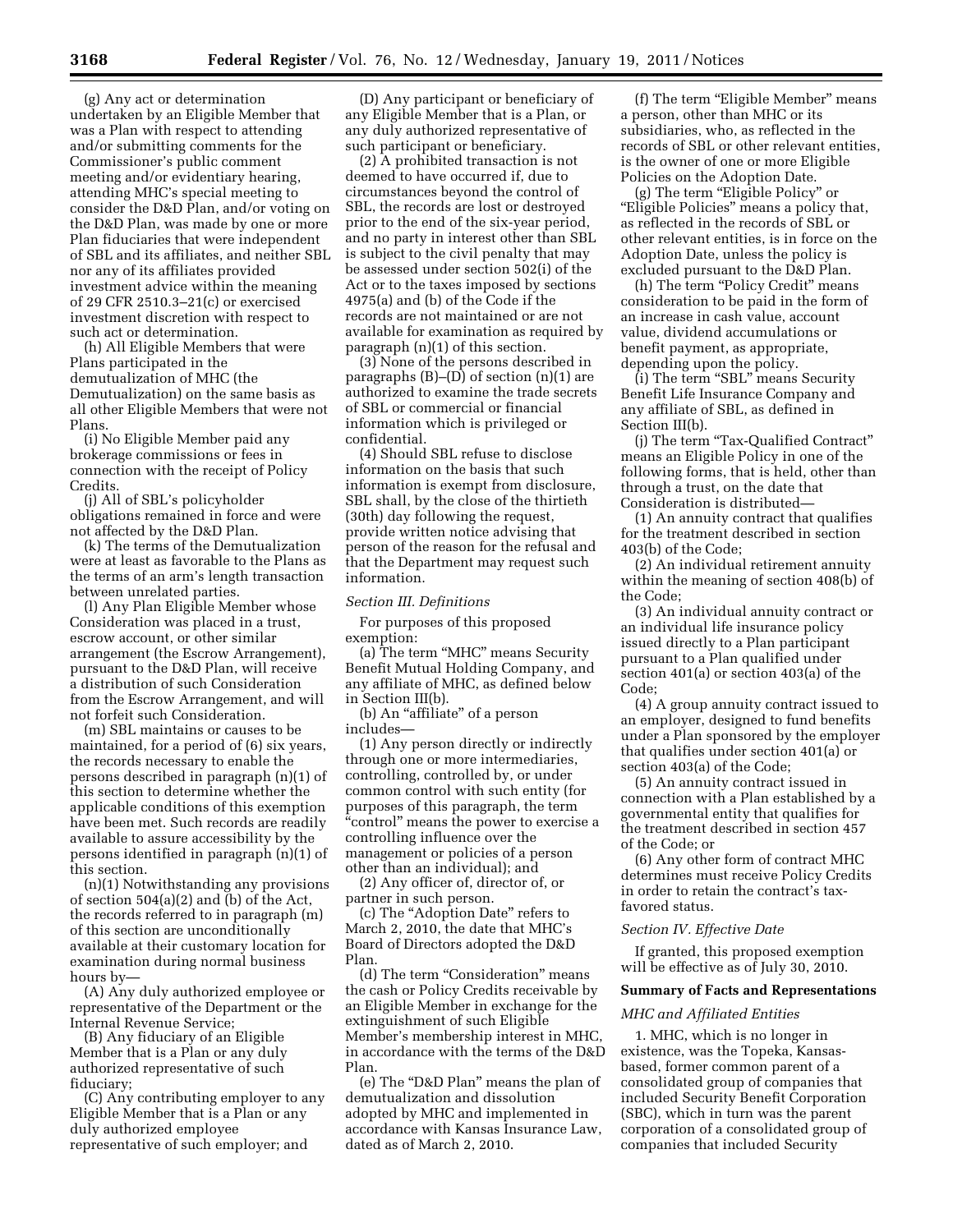(g) Any act or determination undertaken by an Eligible Member that was a Plan with respect to attending and/or submitting comments for the Commissioner's public comment meeting and/or evidentiary hearing, attending MHC's special meeting to consider the D&D Plan, and/or voting on the D&D Plan, was made by one or more Plan fiduciaries that were independent of SBL and its affiliates, and neither SBL nor any of its affiliates provided investment advice within the meaning of 29 CFR 2510.3–21(c) or exercised investment discretion with respect to such act or determination.

(h) All Eligible Members that were Plans participated in the demutualization of MHC (the Demutualization) on the same basis as all other Eligible Members that were not Plans.

(i) No Eligible Member paid any brokerage commissions or fees in connection with the receipt of Policy Credits.

(j) All of SBL's policyholder obligations remained in force and were not affected by the D&D Plan.

(k) The terms of the Demutualization were at least as favorable to the Plans as the terms of an arm's length transaction between unrelated parties.

(l) Any Plan Eligible Member whose Consideration was placed in a trust, escrow account, or other similar arrangement (the Escrow Arrangement), pursuant to the D&D Plan, will receive a distribution of such Consideration from the Escrow Arrangement, and will not forfeit such Consideration.

(m) SBL maintains or causes to be maintained, for a period of (6) six years, the records necessary to enable the persons described in paragraph (n)(1) of this section to determine whether the applicable conditions of this exemption have been met. Such records are readily available to assure accessibility by the persons identified in paragraph (n)(1) of this section.

(n)(1) Notwithstanding any provisions of section 504(a)(2) and (b) of the Act, the records referred to in paragraph (m) of this section are unconditionally available at their customary location for examination during normal business hours by—

(A) Any duly authorized employee or representative of the Department or the Internal Revenue Service;

(B) Any fiduciary of an Eligible Member that is a Plan or any duly authorized representative of such fiduciary;

(C) Any contributing employer to any Eligible Member that is a Plan or any duly authorized employee representative of such employer; and

(D) Any participant or beneficiary of any Eligible Member that is a Plan, or any duly authorized representative of such participant or beneficiary.

(2) A prohibited transaction is not deemed to have occurred if, due to circumstances beyond the control of SBL, the records are lost or destroyed prior to the end of the six-year period, and no party in interest other than SBL is subject to the civil penalty that may be assessed under section 502(i) of the Act or to the taxes imposed by sections 4975(a) and (b) of the Code if the records are not maintained or are not available for examination as required by paragraph (n)(1) of this section.

(3) None of the persons described in paragraphs  $(B)$ – $(D)$  of section  $(n)(1)$  are authorized to examine the trade secrets of SBL or commercial or financial information which is privileged or confidential.

(4) Should SBL refuse to disclose information on the basis that such information is exempt from disclosure, SBL shall, by the close of the thirtieth (30th) day following the request, provide written notice advising that person of the reason for the refusal and that the Department may request such information.

#### *Section III. Definitions*

For purposes of this proposed exemption:

(a) The term ''MHC'' means Security Benefit Mutual Holding Company, and any affiliate of MHC, as defined below in Section III(b).

(b) An ''affiliate'' of a person includes—

(1) Any person directly or indirectly through one or more intermediaries, controlling, controlled by, or under common control with such entity (for purposes of this paragraph, the term "control" means the power to exercise a controlling influence over the management or policies of a person other than an individual); and

(2) Any officer of, director of, or partner in such person.

(c) The ''Adoption Date'' refers to March 2, 2010, the date that MHC's Board of Directors adopted the D&D Plan.

(d) The term "Consideration" means the cash or Policy Credits receivable by an Eligible Member in exchange for the extinguishment of such Eligible Member's membership interest in MHC, in accordance with the terms of the D&D Plan.

(e) The "D&D Plan" means the plan of demutualization and dissolution adopted by MHC and implemented in accordance with Kansas Insurance Law, dated as of March 2, 2010.

(f) The term "Eligible Member" means a person, other than MHC or its subsidiaries, who, as reflected in the records of SBL or other relevant entities, is the owner of one or more Eligible Policies on the Adoption Date.

(g) The term ''Eligible Policy'' or "Eligible Policies" means a policy that, as reflected in the records of SBL or other relevant entities, is in force on the Adoption Date, unless the policy is excluded pursuant to the D&D Plan.

(h) The term "Policy Credit" means consideration to be paid in the form of an increase in cash value, account value, dividend accumulations or benefit payment, as appropriate, depending upon the policy.

(i) The term "SBL" means Security Benefit Life Insurance Company and any affiliate of SBL, as defined in Section III(b).

(j) The term "Tax-Qualified Contract" means an Eligible Policy in one of the following forms, that is held, other than through a trust, on the date that Consideration is distributed—

(1) An annuity contract that qualifies for the treatment described in section 403(b) of the Code;

(2) An individual retirement annuity within the meaning of section 408(b) of the Code;

(3) An individual annuity contract or an individual life insurance policy issued directly to a Plan participant pursuant to a Plan qualified under section 401(a) or section 403(a) of the Code;

(4) A group annuity contract issued to an employer, designed to fund benefits under a Plan sponsored by the employer that qualifies under section 401(a) or section 403(a) of the Code;

(5) An annuity contract issued in connection with a Plan established by a governmental entity that qualifies for the treatment described in section 457 of the Code; or

(6) Any other form of contract MHC determines must receive Policy Credits in order to retain the contract's taxfavored status.

### *Section IV. Effective Date*

If granted, this proposed exemption will be effective as of July 30, 2010.

### **Summary of Facts and Representations**

### *MHC and Affiliated Entities*

1. MHC, which is no longer in existence, was the Topeka, Kansasbased, former common parent of a consolidated group of companies that included Security Benefit Corporation (SBC), which in turn was the parent corporation of a consolidated group of companies that included Security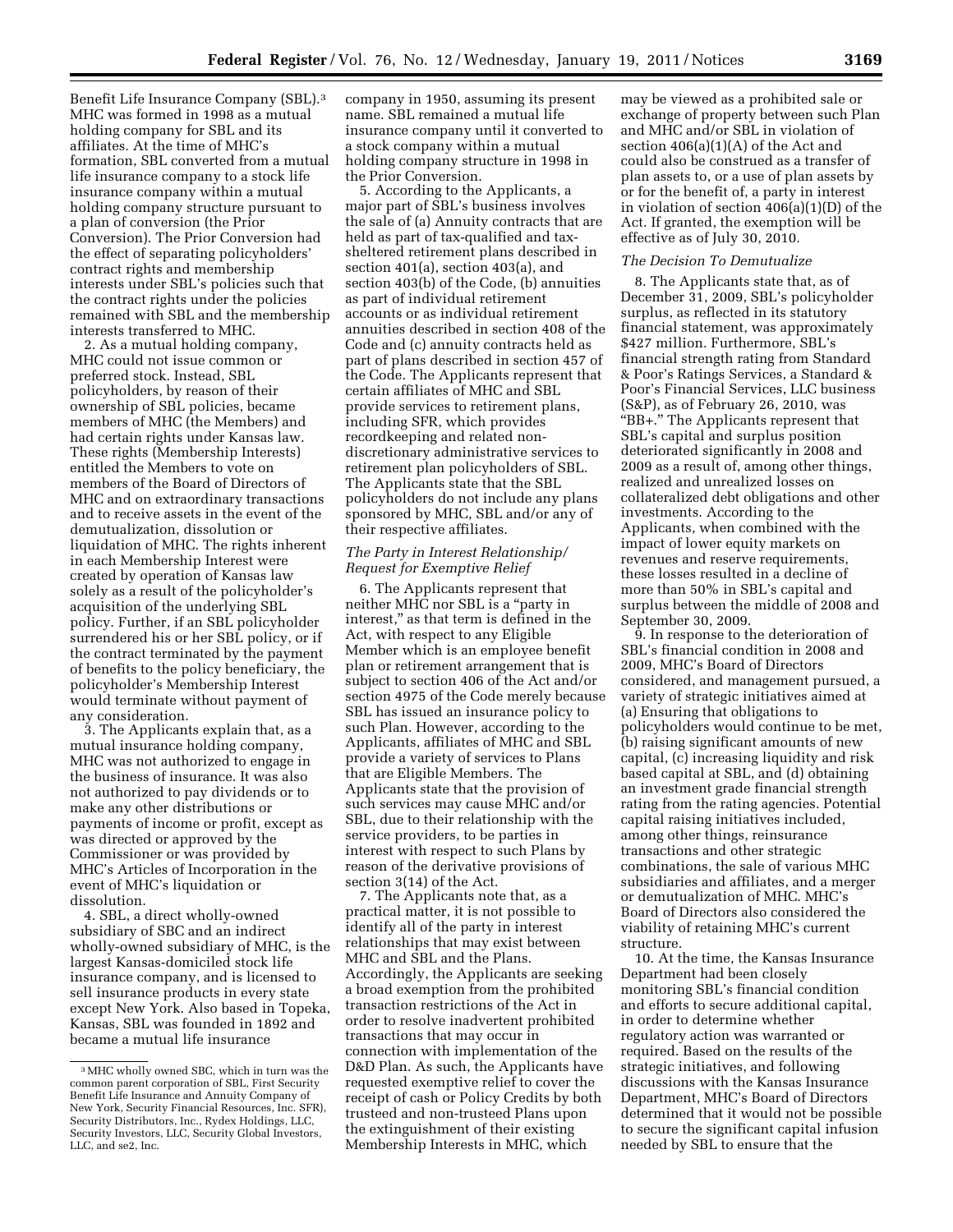Benefit Life Insurance Company (SBL).3 MHC was formed in 1998 as a mutual holding company for SBL and its affiliates. At the time of MHC's formation, SBL converted from a mutual life insurance company to a stock life insurance company within a mutual holding company structure pursuant to a plan of conversion (the Prior Conversion). The Prior Conversion had the effect of separating policyholders' contract rights and membership interests under SBL's policies such that the contract rights under the policies remained with SBL and the membership interests transferred to MHC.

2. As a mutual holding company, MHC could not issue common or preferred stock. Instead, SBL policyholders, by reason of their ownership of SBL policies, became members of MHC (the Members) and had certain rights under Kansas law. These rights (Membership Interests) entitled the Members to vote on members of the Board of Directors of MHC and on extraordinary transactions and to receive assets in the event of the demutualization, dissolution or liquidation of MHC. The rights inherent in each Membership Interest were created by operation of Kansas law solely as a result of the policyholder's acquisition of the underlying SBL policy. Further, if an SBL policyholder surrendered his or her SBL policy, or if the contract terminated by the payment of benefits to the policy beneficiary, the policyholder's Membership Interest would terminate without payment of any consideration.

3. The Applicants explain that, as a mutual insurance holding company, MHC was not authorized to engage in the business of insurance. It was also not authorized to pay dividends or to make any other distributions or payments of income or profit, except as was directed or approved by the Commissioner or was provided by MHC's Articles of Incorporation in the event of MHC's liquidation or dissolution.

4. SBL, a direct wholly-owned subsidiary of SBC and an indirect wholly-owned subsidiary of MHC, is the largest Kansas-domiciled stock life insurance company, and is licensed to sell insurance products in every state except New York. Also based in Topeka, Kansas, SBL was founded in 1892 and became a mutual life insurance

company in 1950, assuming its present name. SBL remained a mutual life insurance company until it converted to a stock company within a mutual holding company structure in 1998 in the Prior Conversion.

5. According to the Applicants, a major part of SBL's business involves the sale of (a) Annuity contracts that are held as part of tax-qualified and taxsheltered retirement plans described in section 401(a), section 403(a), and section 403(b) of the Code, (b) annuities as part of individual retirement accounts or as individual retirement annuities described in section 408 of the Code and (c) annuity contracts held as part of plans described in section 457 of the Code. The Applicants represent that certain affiliates of MHC and SBL provide services to retirement plans, including SFR, which provides recordkeeping and related nondiscretionary administrative services to retirement plan policyholders of SBL. The Applicants state that the SBL policyholders do not include any plans sponsored by MHC, SBL and/or any of their respective affiliates.

# *The Party in Interest Relationship/ Request for Exemptive Relief*

6. The Applicants represent that neither MHC nor SBL is a ''party in interest,'' as that term is defined in the Act, with respect to any Eligible Member which is an employee benefit plan or retirement arrangement that is subject to section 406 of the Act and/or section 4975 of the Code merely because SBL has issued an insurance policy to such Plan. However, according to the Applicants, affiliates of MHC and SBL provide a variety of services to Plans that are Eligible Members. The Applicants state that the provision of such services may cause MHC and/or SBL, due to their relationship with the service providers, to be parties in interest with respect to such Plans by reason of the derivative provisions of section 3(14) of the Act.

7. The Applicants note that, as a practical matter, it is not possible to identify all of the party in interest relationships that may exist between MHC and SBL and the Plans. Accordingly, the Applicants are seeking a broad exemption from the prohibited transaction restrictions of the Act in order to resolve inadvertent prohibited transactions that may occur in connection with implementation of the D&D Plan. As such, the Applicants have requested exemptive relief to cover the receipt of cash or Policy Credits by both trusteed and non-trusteed Plans upon the extinguishment of their existing Membership Interests in MHC, which

may be viewed as a prohibited sale or exchange of property between such Plan and MHC and/or SBL in violation of section  $406(a)(1)(A)$  of the Act and could also be construed as a transfer of plan assets to, or a use of plan assets by or for the benefit of, a party in interest in violation of section 406(a)(1)(D) of the Act. If granted, the exemption will be effective as of July 30, 2010.

## *The Decision To Demutualize*

8. The Applicants state that, as of December 31, 2009, SBL's policyholder surplus, as reflected in its statutory financial statement, was approximately \$427 million. Furthermore, SBL's financial strength rating from Standard & Poor's Ratings Services, a Standard & Poor's Financial Services, LLC business (S&P), as of February 26, 2010, was ''BB+.'' The Applicants represent that SBL's capital and surplus position deteriorated significantly in 2008 and 2009 as a result of, among other things, realized and unrealized losses on collateralized debt obligations and other investments. According to the Applicants, when combined with the impact of lower equity markets on revenues and reserve requirements, these losses resulted in a decline of more than 50% in SBL's capital and surplus between the middle of 2008 and September 30, 2009.

9. In response to the deterioration of SBL's financial condition in 2008 and 2009, MHC's Board of Directors considered, and management pursued, a variety of strategic initiatives aimed at (a) Ensuring that obligations to policyholders would continue to be met, (b) raising significant amounts of new capital, (c) increasing liquidity and risk based capital at SBL, and (d) obtaining an investment grade financial strength rating from the rating agencies. Potential capital raising initiatives included, among other things, reinsurance transactions and other strategic combinations, the sale of various MHC subsidiaries and affiliates, and a merger or demutualization of MHC. MHC's Board of Directors also considered the viability of retaining MHC's current structure.

10. At the time, the Kansas Insurance Department had been closely monitoring SBL's financial condition and efforts to secure additional capital, in order to determine whether regulatory action was warranted or required. Based on the results of the strategic initiatives, and following discussions with the Kansas Insurance Department, MHC's Board of Directors determined that it would not be possible to secure the significant capital infusion needed by SBL to ensure that the

<sup>3</sup>MHC wholly owned SBC, which in turn was the common parent corporation of SBL, First Security Benefit Life Insurance and Annuity Company of New York, Security Financial Resources, Inc. SFR), Security Distributors, Inc., Rydex Holdings, LLC, Security Investors, LLC, Security Global Investors, LLC, and se2, Inc.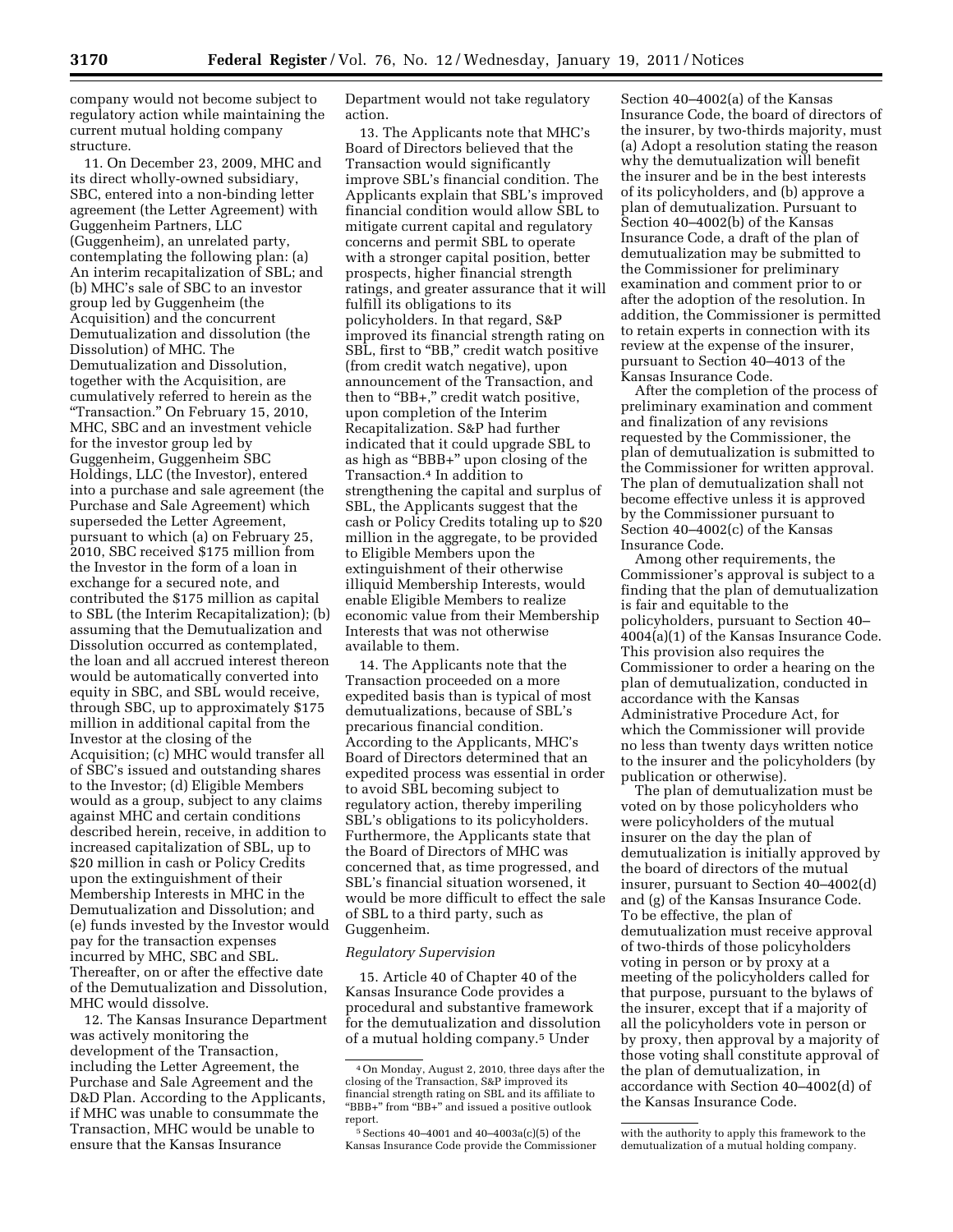company would not become subject to regulatory action while maintaining the current mutual holding company structure.

11. On December 23, 2009, MHC and its direct wholly-owned subsidiary, SBC, entered into a non-binding letter agreement (the Letter Agreement) with Guggenheim Partners, LLC (Guggenheim), an unrelated party, contemplating the following plan: (a) An interim recapitalization of SBL; and (b) MHC's sale of SBC to an investor group led by Guggenheim (the Acquisition) and the concurrent Demutualization and dissolution (the Dissolution) of MHC. The Demutualization and Dissolution, together with the Acquisition, are cumulatively referred to herein as the ''Transaction.'' On February 15, 2010, MHC, SBC and an investment vehicle for the investor group led by Guggenheim, Guggenheim SBC Holdings, LLC (the Investor), entered into a purchase and sale agreement (the Purchase and Sale Agreement) which superseded the Letter Agreement, pursuant to which (a) on February 25, 2010, SBC received \$175 million from the Investor in the form of a loan in exchange for a secured note, and contributed the \$175 million as capital to SBL (the Interim Recapitalization); (b) assuming that the Demutualization and Dissolution occurred as contemplated, the loan and all accrued interest thereon would be automatically converted into equity in SBC, and SBL would receive, through SBC, up to approximately \$175 million in additional capital from the Investor at the closing of the Acquisition; (c) MHC would transfer all of SBC's issued and outstanding shares to the Investor; (d) Eligible Members would as a group, subject to any claims against MHC and certain conditions described herein, receive, in addition to increased capitalization of SBL, up to \$20 million in cash or Policy Credits upon the extinguishment of their Membership Interests in MHC in the Demutualization and Dissolution; and (e) funds invested by the Investor would pay for the transaction expenses incurred by MHC, SBC and SBL. Thereafter, on or after the effective date of the Demutualization and Dissolution, MHC would dissolve.

12. The Kansas Insurance Department was actively monitoring the development of the Transaction, including the Letter Agreement, the Purchase and Sale Agreement and the D&D Plan. According to the Applicants, if MHC was unable to consummate the Transaction, MHC would be unable to ensure that the Kansas Insurance

Department would not take regulatory action.

13. The Applicants note that MHC's Board of Directors believed that the Transaction would significantly improve SBL's financial condition. The Applicants explain that SBL's improved financial condition would allow SBL to mitigate current capital and regulatory concerns and permit SBL to operate with a stronger capital position, better prospects, higher financial strength ratings, and greater assurance that it will fulfill its obligations to its policyholders. In that regard, S&P improved its financial strength rating on SBL, first to "BB," credit watch positive (from credit watch negative), upon announcement of the Transaction, and then to "BB+," credit watch positive, upon completion of the Interim Recapitalization. S&P had further indicated that it could upgrade SBL to as high as ''BBB+'' upon closing of the Transaction.4 In addition to strengthening the capital and surplus of SBL, the Applicants suggest that the cash or Policy Credits totaling up to \$20 million in the aggregate, to be provided to Eligible Members upon the extinguishment of their otherwise illiquid Membership Interests, would enable Eligible Members to realize economic value from their Membership Interests that was not otherwise available to them.

14. The Applicants note that the Transaction proceeded on a more expedited basis than is typical of most demutualizations, because of SBL's precarious financial condition. According to the Applicants, MHC's Board of Directors determined that an expedited process was essential in order to avoid SBL becoming subject to regulatory action, thereby imperiling SBL's obligations to its policyholders. Furthermore, the Applicants state that the Board of Directors of MHC was concerned that, as time progressed, and SBL's financial situation worsened, it would be more difficult to effect the sale of SBL to a third party, such as Guggenheim.

#### *Regulatory Supervision*

15. Article 40 of Chapter 40 of the Kansas Insurance Code provides a procedural and substantive framework for the demutualization and dissolution of a mutual holding company.5 Under

Section 40–4002(a) of the Kansas Insurance Code, the board of directors of the insurer, by two-thirds majority, must (a) Adopt a resolution stating the reason why the demutualization will benefit the insurer and be in the best interests of its policyholders, and (b) approve a plan of demutualization. Pursuant to Section 40–4002(b) of the Kansas Insurance Code, a draft of the plan of demutualization may be submitted to the Commissioner for preliminary examination and comment prior to or after the adoption of the resolution. In addition, the Commissioner is permitted to retain experts in connection with its review at the expense of the insurer, pursuant to Section 40–4013 of the Kansas Insurance Code.

After the completion of the process of preliminary examination and comment and finalization of any revisions requested by the Commissioner, the plan of demutualization is submitted to the Commissioner for written approval. The plan of demutualization shall not become effective unless it is approved by the Commissioner pursuant to Section 40–4002(c) of the Kansas Insurance Code.

Among other requirements, the Commissioner's approval is subject to a finding that the plan of demutualization is fair and equitable to the policyholders, pursuant to Section 40– 4004(a)(1) of the Kansas Insurance Code. This provision also requires the Commissioner to order a hearing on the plan of demutualization, conducted in accordance with the Kansas Administrative Procedure Act, for which the Commissioner will provide no less than twenty days written notice to the insurer and the policyholders (by publication or otherwise).

The plan of demutualization must be voted on by those policyholders who were policyholders of the mutual insurer on the day the plan of demutualization is initially approved by the board of directors of the mutual insurer, pursuant to Section 40–4002(d) and (g) of the Kansas Insurance Code. To be effective, the plan of demutualization must receive approval of two-thirds of those policyholders voting in person or by proxy at a meeting of the policyholders called for that purpose, pursuant to the bylaws of the insurer, except that if a majority of all the policyholders vote in person or by proxy, then approval by a majority of those voting shall constitute approval of the plan of demutualization, in accordance with Section 40–4002(d) of the Kansas Insurance Code.

<sup>4</sup>On Monday, August 2, 2010, three days after the closing of the Transaction, S&P improved its financial strength rating on SBL and its affiliate to "BBB+" from "BB+" and issued a positive outlook report.

<sup>5</sup>Sections 40–4001 and 40–4003a(c)(5) of the Kansas Insurance Code provide the Commissioner

with the authority to apply this framework to the demutualization of a mutual holding company.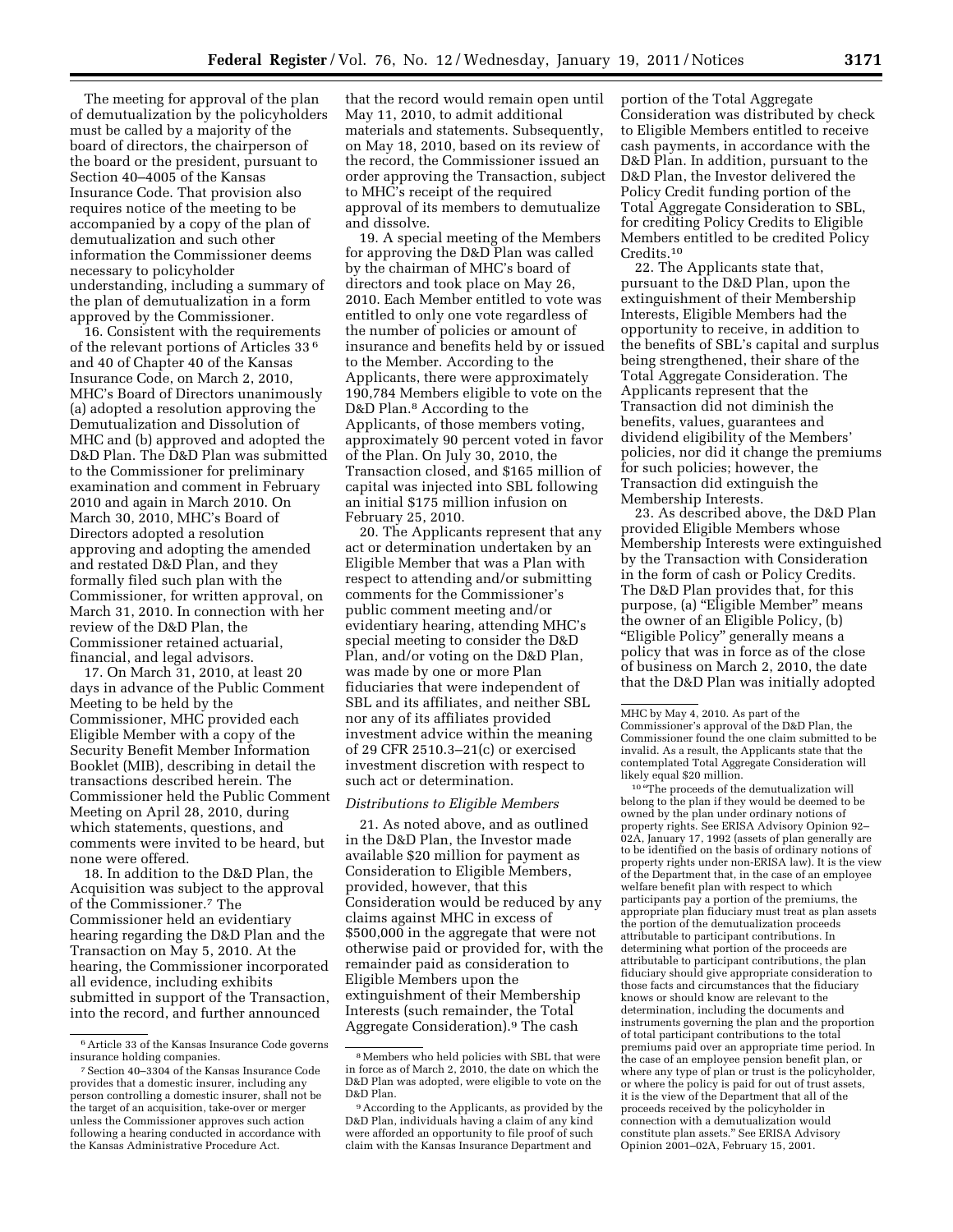The meeting for approval of the plan of demutualization by the policyholders must be called by a majority of the board of directors, the chairperson of the board or the president, pursuant to Section 40–4005 of the Kansas Insurance Code. That provision also requires notice of the meeting to be accompanied by a copy of the plan of demutualization and such other information the Commissioner deems necessary to policyholder understanding, including a summary of the plan of demutualization in a form approved by the Commissioner.

16. Consistent with the requirements of the relevant portions of Articles 33 6 and 40 of Chapter 40 of the Kansas Insurance Code, on March 2, 2010, MHC's Board of Directors unanimously (a) adopted a resolution approving the Demutualization and Dissolution of MHC and (b) approved and adopted the D&D Plan. The D&D Plan was submitted to the Commissioner for preliminary examination and comment in February 2010 and again in March 2010. On March 30, 2010, MHC's Board of Directors adopted a resolution approving and adopting the amended and restated D&D Plan, and they formally filed such plan with the Commissioner, for written approval, on March 31, 2010. In connection with her review of the D&D Plan, the Commissioner retained actuarial, financial, and legal advisors.

17. On March 31, 2010, at least 20 days in advance of the Public Comment Meeting to be held by the Commissioner, MHC provided each Eligible Member with a copy of the Security Benefit Member Information Booklet (MIB), describing in detail the transactions described herein. The Commissioner held the Public Comment Meeting on April 28, 2010, during which statements, questions, and comments were invited to be heard, but none were offered.

18. In addition to the D&D Plan, the Acquisition was subject to the approval of the Commissioner.7 The Commissioner held an evidentiary hearing regarding the D&D Plan and the Transaction on May 5, 2010. At the hearing, the Commissioner incorporated all evidence, including exhibits submitted in support of the Transaction, into the record, and further announced

that the record would remain open until May 11, 2010, to admit additional materials and statements. Subsequently, on May 18, 2010, based on its review of the record, the Commissioner issued an order approving the Transaction, subject to MHC's receipt of the required approval of its members to demutualize and dissolve.

19. A special meeting of the Members for approving the D&D Plan was called by the chairman of MHC's board of directors and took place on May 26, 2010. Each Member entitled to vote was entitled to only one vote regardless of the number of policies or amount of insurance and benefits held by or issued to the Member. According to the Applicants, there were approximately 190,784 Members eligible to vote on the D&D Plan.<sup>8</sup> According to the Applicants, of those members voting, approximately 90 percent voted in favor of the Plan. On July 30, 2010, the Transaction closed, and \$165 million of capital was injected into SBL following an initial \$175 million infusion on February 25, 2010.

20. The Applicants represent that any act or determination undertaken by an Eligible Member that was a Plan with respect to attending and/or submitting comments for the Commissioner's public comment meeting and/or evidentiary hearing, attending MHC's special meeting to consider the D&D Plan, and/or voting on the D&D Plan, was made by one or more Plan fiduciaries that were independent of SBL and its affiliates, and neither SBL nor any of its affiliates provided investment advice within the meaning of 29 CFR 2510.3–21(c) or exercised investment discretion with respect to such act or determination.

### *Distributions to Eligible Members*

21. As noted above, and as outlined in the D&D Plan, the Investor made available \$20 million for payment as Consideration to Eligible Members, provided, however, that this Consideration would be reduced by any claims against MHC in excess of \$500,000 in the aggregate that were not otherwise paid or provided for, with the remainder paid as consideration to Eligible Members upon the extinguishment of their Membership Interests (such remainder, the Total Aggregate Consideration).9 The cash

portion of the Total Aggregate Consideration was distributed by check to Eligible Members entitled to receive cash payments, in accordance with the D&D Plan. In addition, pursuant to the D&D Plan, the Investor delivered the Policy Credit funding portion of the Total Aggregate Consideration to SBL, for crediting Policy Credits to Eligible Members entitled to be credited Policy Credits.10

22. The Applicants state that, pursuant to the D&D Plan, upon the extinguishment of their Membership Interests, Eligible Members had the opportunity to receive, in addition to the benefits of SBL's capital and surplus being strengthened, their share of the Total Aggregate Consideration. The Applicants represent that the Transaction did not diminish the benefits, values, guarantees and dividend eligibility of the Members' policies, nor did it change the premiums for such policies; however, the Transaction did extinguish the Membership Interests.

23. As described above, the D&D Plan provided Eligible Members whose Membership Interests were extinguished by the Transaction with Consideration in the form of cash or Policy Credits. The D&D Plan provides that, for this purpose, (a) "Eligible Member" means the owner of an Eligible Policy, (b) ''Eligible Policy'' generally means a policy that was in force as of the close of business on March 2, 2010, the date that the D&D Plan was initially adopted

<sup>10</sup> "The proceeds of the demutualization will belong to the plan if they would be deemed to be owned by the plan under ordinary notions of property rights. See ERISA Advisory Opinion 92– 02A, January 17, 1992 (assets of plan generally are to be identified on the basis of ordinary notions of property rights under non-ERISA law). It is the view of the Department that, in the case of an employee welfare benefit plan with respect to which participants pay a portion of the premiums, the appropriate plan fiduciary must treat as plan assets the portion of the demutualization proceeds attributable to participant contributions. In determining what portion of the proceeds are attributable to participant contributions, the plan fiduciary should give appropriate consideration to those facts and circumstances that the fiduciary knows or should know are relevant to the determination, including the documents and instruments governing the plan and the proportion of total participant contributions to the total premiums paid over an appropriate time period. In the case of an employee pension benefit plan, or where any type of plan or trust is the policyholder, or where the policy is paid for out of trust assets, it is the view of the Department that all of the proceeds received by the policyholder in connection with a demutualization would constitute plan assets.'' See ERISA Advisory Opinion 2001–02A, February 15, 2001.

<sup>6</sup>Article 33 of the Kansas Insurance Code governs insurance holding companies.

<sup>7</sup>Section 40–3304 of the Kansas Insurance Code provides that a domestic insurer, including any person controlling a domestic insurer, shall not be the target of an acquisition, take-over or merger unless the Commissioner approves such action following a hearing conducted in accordance with the Kansas Administrative Procedure Act.

<sup>8</sup>Members who held policies with SBL that were in force as of March 2, 2010, the date on which the D&D Plan was adopted, were eligible to vote on the D&D Plan.

<sup>9</sup>According to the Applicants, as provided by the D&D Plan, individuals having a claim of any kind were afforded an opportunity to file proof of such claim with the Kansas Insurance Department and

MHC by May 4, 2010. As part of the Commissioner's approval of the D&D Plan, the Commissioner found the one claim submitted to be invalid. As a result, the Applicants state that the contemplated Total Aggregate Consideration will likely equal \$20 million.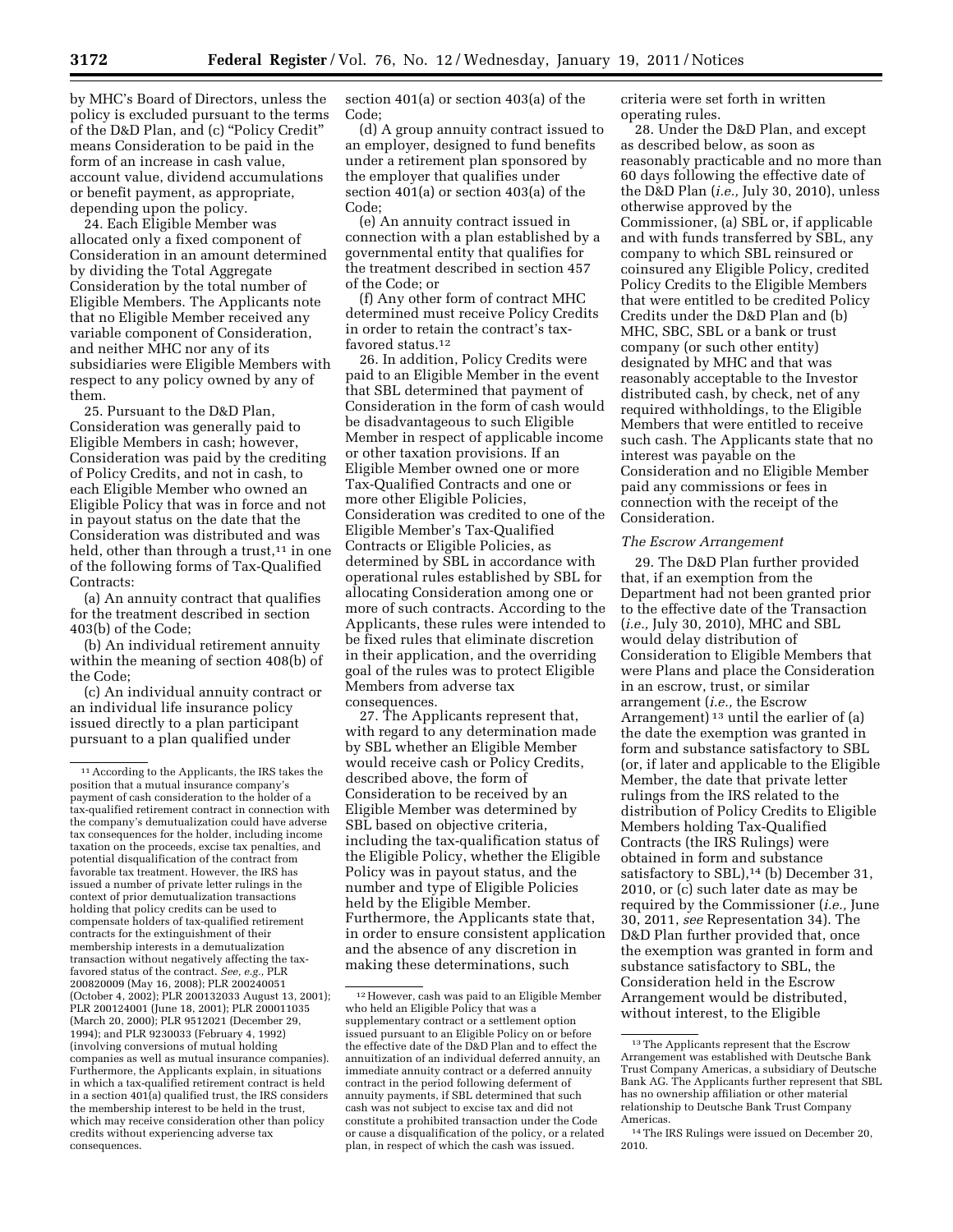by MHC's Board of Directors, unless the policy is excluded pursuant to the terms of the D&D Plan, and (c) ''Policy Credit'' means Consideration to be paid in the form of an increase in cash value, account value, dividend accumulations or benefit payment, as appropriate, depending upon the policy.

24. Each Eligible Member was allocated only a fixed component of Consideration in an amount determined by dividing the Total Aggregate Consideration by the total number of Eligible Members. The Applicants note that no Eligible Member received any variable component of Consideration, and neither MHC nor any of its subsidiaries were Eligible Members with respect to any policy owned by any of them.

25. Pursuant to the D&D Plan, Consideration was generally paid to Eligible Members in cash; however, Consideration was paid by the crediting of Policy Credits, and not in cash, to each Eligible Member who owned an Eligible Policy that was in force and not in payout status on the date that the Consideration was distributed and was held, other than through a trust, $11$  in one of the following forms of Tax-Qualified Contracts:

(a) An annuity contract that qualifies for the treatment described in section 403(b) of the Code;

(b) An individual retirement annuity within the meaning of section 408(b) of the Code;

(c) An individual annuity contract or an individual life insurance policy issued directly to a plan participant pursuant to a plan qualified under

section 401(a) or section 403(a) of the Code;

(d) A group annuity contract issued to an employer, designed to fund benefits under a retirement plan sponsored by the employer that qualifies under section 401(a) or section 403(a) of the Code;

(e) An annuity contract issued in connection with a plan established by a governmental entity that qualifies for the treatment described in section 457 of the Code; or

(f) Any other form of contract MHC determined must receive Policy Credits in order to retain the contract's taxfavored status.12

26. In addition, Policy Credits were paid to an Eligible Member in the event that SBL determined that payment of Consideration in the form of cash would be disadvantageous to such Eligible Member in respect of applicable income or other taxation provisions. If an Eligible Member owned one or more Tax-Qualified Contracts and one or more other Eligible Policies, Consideration was credited to one of the Eligible Member's Tax-Qualified Contracts or Eligible Policies, as determined by SBL in accordance with operational rules established by SBL for allocating Consideration among one or more of such contracts. According to the Applicants, these rules were intended to be fixed rules that eliminate discretion in their application, and the overriding goal of the rules was to protect Eligible Members from adverse tax consequences.

27. The Applicants represent that, with regard to any determination made by SBL whether an Eligible Member would receive cash or Policy Credits, described above, the form of Consideration to be received by an Eligible Member was determined by SBL based on objective criteria, including the tax-qualification status of the Eligible Policy, whether the Eligible Policy was in payout status, and the number and type of Eligible Policies held by the Eligible Member. Furthermore, the Applicants state that, in order to ensure consistent application and the absence of any discretion in making these determinations, such

criteria were set forth in written operating rules.

28. Under the D&D Plan, and except as described below, as soon as reasonably practicable and no more than 60 days following the effective date of the D&D Plan (*i.e.,* July 30, 2010), unless otherwise approved by the Commissioner, (a) SBL or, if applicable and with funds transferred by SBL, any company to which SBL reinsured or coinsured any Eligible Policy, credited Policy Credits to the Eligible Members that were entitled to be credited Policy Credits under the D&D Plan and (b) MHC, SBC, SBL or a bank or trust company (or such other entity) designated by MHC and that was reasonably acceptable to the Investor distributed cash, by check, net of any required withholdings, to the Eligible Members that were entitled to receive such cash. The Applicants state that no interest was payable on the Consideration and no Eligible Member paid any commissions or fees in connection with the receipt of the Consideration.

#### *The Escrow Arrangement*

29. The D&D Plan further provided that, if an exemption from the Department had not been granted prior to the effective date of the Transaction (*i.e.,* July 30, 2010), MHC and SBL would delay distribution of Consideration to Eligible Members that were Plans and place the Consideration in an escrow, trust, or similar arrangement (*i.e.,* the Escrow Arrangement) 13 until the earlier of (a) the date the exemption was granted in form and substance satisfactory to SBL (or, if later and applicable to the Eligible Member, the date that private letter rulings from the IRS related to the distribution of Policy Credits to Eligible Members holding Tax-Qualified Contracts (the IRS Rulings) were obtained in form and substance satisfactory to SBL),<sup>14</sup> (b) December 31, 2010, or (c) such later date as may be required by the Commissioner (*i.e.,* June 30, 2011, *see* Representation 34). The D&D Plan further provided that, once the exemption was granted in form and substance satisfactory to SBL, the Consideration held in the Escrow Arrangement would be distributed, without interest, to the Eligible

<sup>11</sup>According to the Applicants, the IRS takes the position that a mutual insurance company's payment of cash consideration to the holder of a tax-qualified retirement contract in connection with the company's demutualization could have adverse tax consequences for the holder, including income taxation on the proceeds, excise tax penalties, and potential disqualification of the contract from favorable tax treatment. However, the IRS has issued a number of private letter rulings in the context of prior demutualization transactions holding that policy credits can be used to compensate holders of tax-qualified retirement contracts for the extinguishment of their membership interests in a demutualization transaction without negatively affecting the taxfavored status of the contract. *See, e.g.,* PLR 200820009 (May 16, 2008); PLR 200240051 (October 4, 2002); PLR 200132033 August 13, 2001); PLR 200124001 (June 18, 2001); PLR 200011035 (March 20, 2000); PLR 9512021 (December 29, 1994); and PLR 9230033 (February 4, 1992) (involving conversions of mutual holding companies as well as mutual insurance companies). Furthermore, the Applicants explain, in situations in which a tax-qualified retirement contract is held in a section 401(a) qualified trust, the IRS considers the membership interest to be held in the trust, which may receive consideration other than policy credits without experiencing adverse tax consequences.

<sup>12</sup>However, cash was paid to an Eligible Member who held an Eligible Policy that was a supplementary contract or a settlement option issued pursuant to an Eligible Policy on or before the effective date of the D&D Plan and to effect the annuitization of an individual deferred annuity, an immediate annuity contract or a deferred annuity contract in the period following deferment of annuity payments, if SBL determined that such cash was not subject to excise tax and did not constitute a prohibited transaction under the Code or cause a disqualification of the policy, or a related plan, in respect of which the cash was issued.

<sup>13</sup>The Applicants represent that the Escrow Arrangement was established with Deutsche Bank Trust Company Americas, a subsidiary of Deutsche Bank AG. The Applicants further represent that SBL has no ownership affiliation or other material relationship to Deutsche Bank Trust Company Americas.

<sup>14</sup>The IRS Rulings were issued on December 20, 2010.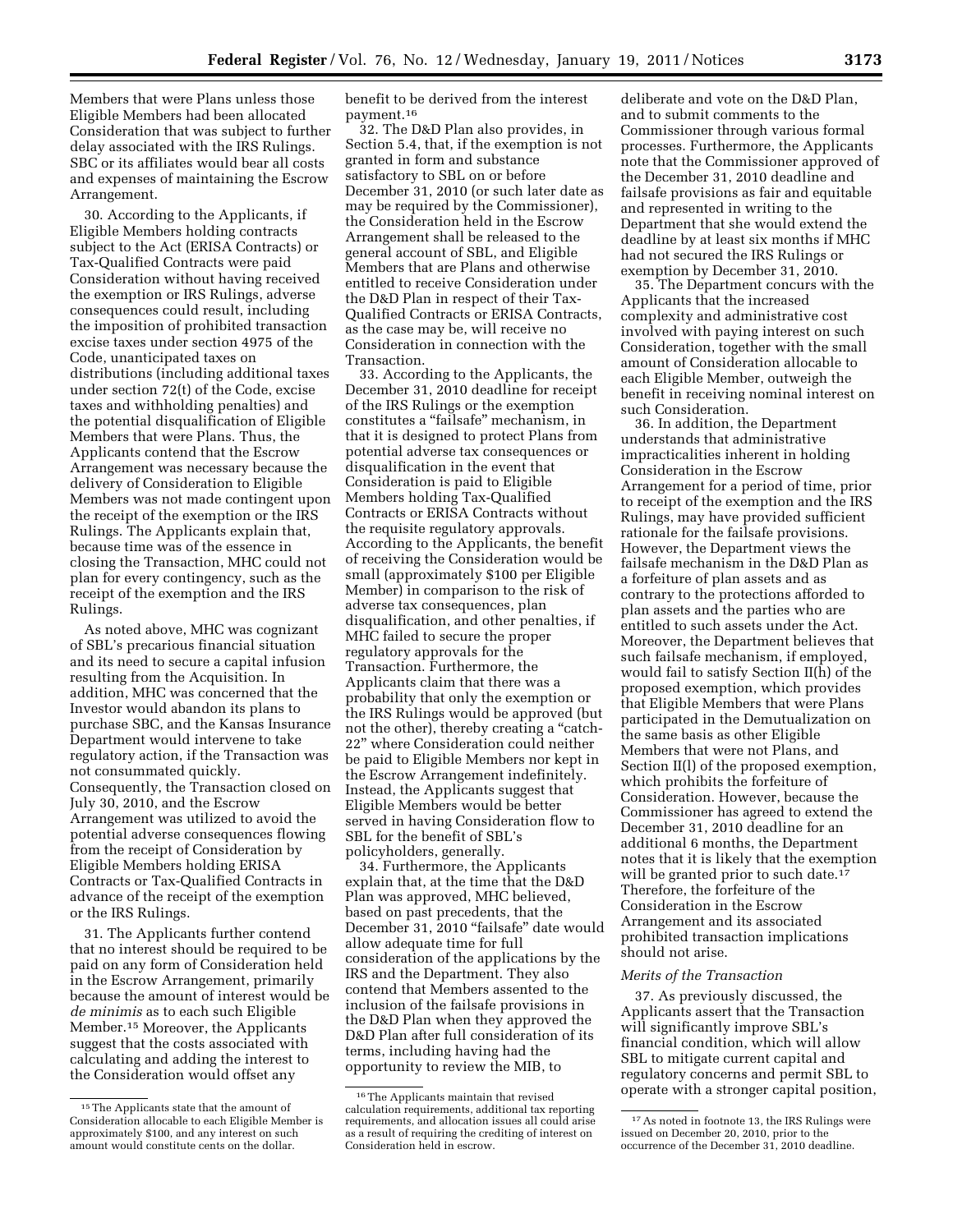Members that were Plans unless those Eligible Members had been allocated Consideration that was subject to further delay associated with the IRS Rulings. SBC or its affiliates would bear all costs and expenses of maintaining the Escrow Arrangement.

30. According to the Applicants, if Eligible Members holding contracts subject to the Act (ERISA Contracts) or Tax-Qualified Contracts were paid Consideration without having received the exemption or IRS Rulings, adverse consequences could result, including the imposition of prohibited transaction excise taxes under section 4975 of the Code, unanticipated taxes on distributions (including additional taxes under section 72(t) of the Code, excise taxes and withholding penalties) and the potential disqualification of Eligible Members that were Plans. Thus, the Applicants contend that the Escrow Arrangement was necessary because the delivery of Consideration to Eligible Members was not made contingent upon the receipt of the exemption or the IRS Rulings. The Applicants explain that, because time was of the essence in closing the Transaction, MHC could not plan for every contingency, such as the receipt of the exemption and the IRS Rulings.

As noted above, MHC was cognizant of SBL's precarious financial situation and its need to secure a capital infusion resulting from the Acquisition. In addition, MHC was concerned that the Investor would abandon its plans to purchase SBC, and the Kansas Insurance Department would intervene to take regulatory action, if the Transaction was not consummated quickly. Consequently, the Transaction closed on July 30, 2010, and the Escrow Arrangement was utilized to avoid the potential adverse consequences flowing from the receipt of Consideration by Eligible Members holding ERISA Contracts or Tax-Qualified Contracts in advance of the receipt of the exemption or the IRS Rulings.

31. The Applicants further contend that no interest should be required to be paid on any form of Consideration held in the Escrow Arrangement, primarily because the amount of interest would be *de minimis* as to each such Eligible Member.15 Moreover, the Applicants suggest that the costs associated with calculating and adding the interest to the Consideration would offset any

benefit to be derived from the interest payment.16

32. The D&D Plan also provides, in Section 5.4, that, if the exemption is not granted in form and substance satisfactory to SBL on or before December 31, 2010 (or such later date as may be required by the Commissioner), the Consideration held in the Escrow Arrangement shall be released to the general account of SBL, and Eligible Members that are Plans and otherwise entitled to receive Consideration under the D&D Plan in respect of their Tax-Qualified Contracts or ERISA Contracts, as the case may be, will receive no Consideration in connection with the Transaction.

33. According to the Applicants, the December 31, 2010 deadline for receipt of the IRS Rulings or the exemption constitutes a ''failsafe'' mechanism, in that it is designed to protect Plans from potential adverse tax consequences or disqualification in the event that Consideration is paid to Eligible Members holding Tax-Qualified Contracts or ERISA Contracts without the requisite regulatory approvals. According to the Applicants, the benefit of receiving the Consideration would be small (approximately \$100 per Eligible Member) in comparison to the risk of adverse tax consequences, plan disqualification, and other penalties, if MHC failed to secure the proper regulatory approvals for the Transaction. Furthermore, the Applicants claim that there was a probability that only the exemption or the IRS Rulings would be approved (but not the other), thereby creating a "catch-22'' where Consideration could neither be paid to Eligible Members nor kept in the Escrow Arrangement indefinitely. Instead, the Applicants suggest that Eligible Members would be better served in having Consideration flow to SBL for the benefit of SBL's policyholders, generally.

34. Furthermore, the Applicants explain that, at the time that the D&D Plan was approved, MHC believed, based on past precedents, that the December 31, 2010 "failsafe" date would allow adequate time for full consideration of the applications by the IRS and the Department. They also contend that Members assented to the inclusion of the failsafe provisions in the D&D Plan when they approved the D&D Plan after full consideration of its terms, including having had the opportunity to review the MIB, to

deliberate and vote on the D&D Plan, and to submit comments to the Commissioner through various formal processes. Furthermore, the Applicants note that the Commissioner approved of the December 31, 2010 deadline and failsafe provisions as fair and equitable and represented in writing to the Department that she would extend the deadline by at least six months if MHC had not secured the IRS Rulings or exemption by December 31, 2010.

35. The Department concurs with the Applicants that the increased complexity and administrative cost involved with paying interest on such Consideration, together with the small amount of Consideration allocable to each Eligible Member, outweigh the benefit in receiving nominal interest on such Consideration.

36. In addition, the Department understands that administrative impracticalities inherent in holding Consideration in the Escrow Arrangement for a period of time, prior to receipt of the exemption and the IRS Rulings, may have provided sufficient rationale for the failsafe provisions. However, the Department views the failsafe mechanism in the D&D Plan as a forfeiture of plan assets and as contrary to the protections afforded to plan assets and the parties who are entitled to such assets under the Act. Moreover, the Department believes that such failsafe mechanism, if employed, would fail to satisfy Section II(h) of the proposed exemption, which provides that Eligible Members that were Plans participated in the Demutualization on the same basis as other Eligible Members that were not Plans, and Section II(l) of the proposed exemption, which prohibits the forfeiture of Consideration. However, because the Commissioner has agreed to extend the December 31, 2010 deadline for an additional 6 months, the Department notes that it is likely that the exemption will be granted prior to such date.<sup>17</sup> Therefore, the forfeiture of the Consideration in the Escrow Arrangement and its associated prohibited transaction implications should not arise.

# *Merits of the Transaction*

37. As previously discussed, the Applicants assert that the Transaction will significantly improve SBL's financial condition, which will allow SBL to mitigate current capital and regulatory concerns and permit SBL to operate with a stronger capital position,

<sup>15</sup>The Applicants state that the amount of Consideration allocable to each Eligible Member is approximately \$100, and any interest on such amount would constitute cents on the dollar.

<sup>16</sup>The Applicants maintain that revised calculation requirements, additional tax reporting requirements, and allocation issues all could arise as a result of requiring the crediting of interest on Consideration held in escrow.

<sup>17</sup>As noted in footnote 13, the IRS Rulings were issued on December 20, 2010, prior to the occurrence of the December 31, 2010 deadline.